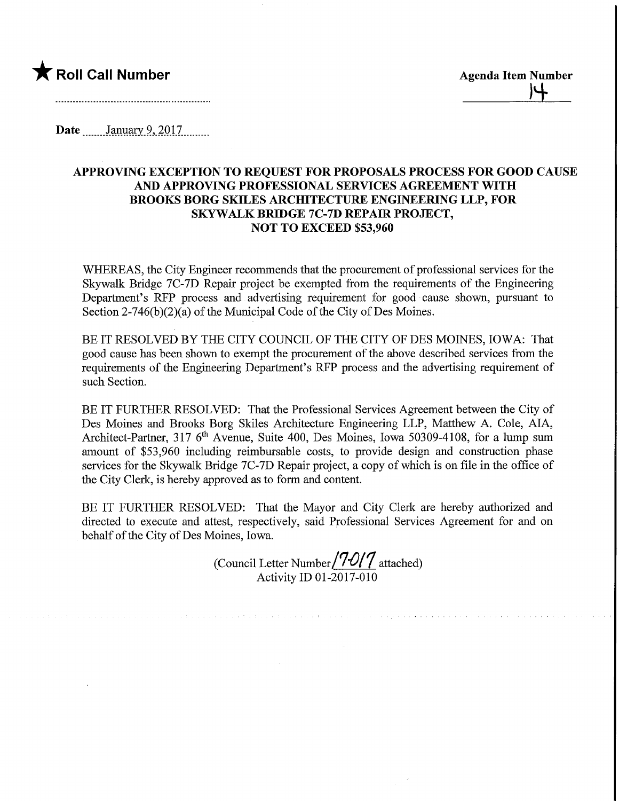

<u>|4</u>

Date January 9, 2017

## APPROVING EXCEPTION TO REQUEST FOR PROPOSALS PROCESS FOR GOOD CAUSE AND APPROVING PROFESSIONAL SERVICES AGREEMENT WITH BROOKS BORG SKILES ARCHITECTURE ENGINEEMNG LLP, FOR SKYWALK BRIDGE 7C-7D REPAIR PROJECT, NOT TO EXCEED \$53,960

WHEREAS, the City Engineer recommends that the procurement of professional services for the Skywalk Bridge 7C-7D Repair project be exempted from the requirements of the Engineering Department's RFP process and advertising requirement for good cause shown, pursuant to Section  $2-746(b)(2)(a)$  of the Municipal Code of the City of Des Moines.

BE IT RESOLVED BY THE CITY COUNCIL OF THE CITY OF DES MOINES, IOWA: That good cause has been shown to exempt the procurement of the above described services from the requirements of the Engineering Department's RFP process and the advertising requirement of such Section.

BE IT FURTHER RESOLVED: That the Professional Services Agreement between the City of Des Moines and Brooks Borg Skiles Architecture Engineering LLP, Matthew A. Cole, AIA, Architect-Partner, 317 6<sup>th</sup> Avenue, Suite 400, Des Moines, Iowa 50309-4108, for a lump sum amount of \$53,960 including reimbursable costs, to provide design and construction phase services for the Skywalk Bridge 7C-7D Repair project, a copy of which is on file in the office of the City Clerk, is hereby approved as to form and content.

BE IT FURTHER RESOLVED: That the Mayor and City Clerk are hereby authorized and directed to execute and attest, respectively, said Professional Services Agreement for and on behalf of the City of Des Moines, Iowa.

(Council Letter Number $/7 - O/7$  attached) Activity ID 01-2017-010